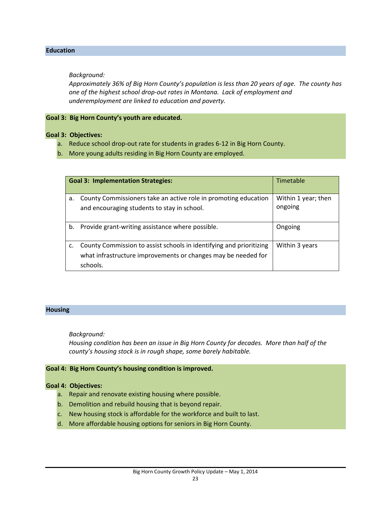## **Education**

## *Background:*

*Approximately 36% of Big Horn County's population is less than 20 years of age. The county has one of the highest school drop‐out rates in Montana. Lack of employment and underemployment are linked to education and poverty.*

## **Goal 3: Big Horn County's youth are educated.**

## **Goal 3: Objectives:**

- a. Reduce school drop‐out rate for students in grades 6‐12 in Big Horn County.
- b. More young adults residing in Big Horn County are employed.

| <b>Goal 3: Implementation Strategies:</b> |                                                                     | <b>Timetable</b>    |
|-------------------------------------------|---------------------------------------------------------------------|---------------------|
| a.                                        | County Commissioners take an active role in promoting education     | Within 1 year; then |
|                                           | and encouraging students to stay in school.                         | ongoing             |
| b.                                        | Provide grant-writing assistance where possible.                    | Ongoing             |
| c.                                        | County Commission to assist schools in identifying and prioritizing | Within 3 years      |
|                                           | what infrastructure improvements or changes may be needed for       |                     |
|                                           | schools.                                                            |                     |

#### **Housing**

*Background:*

*Housing condition has been an issue in Big Horn County for decades. More than half of the county's housing stock is in rough shape, some barely habitable.* 

#### **Goal 4: Big Horn County's housing condition is improved.**

## **Goal 4: Objectives:**

- a. Repair and renovate existing housing where possible.
- b. Demolition and rebuild housing that is beyond repair.
- c. New housing stock is affordable for the workforce and built to last.
- d. More affordable housing options for seniors in Big Horn County.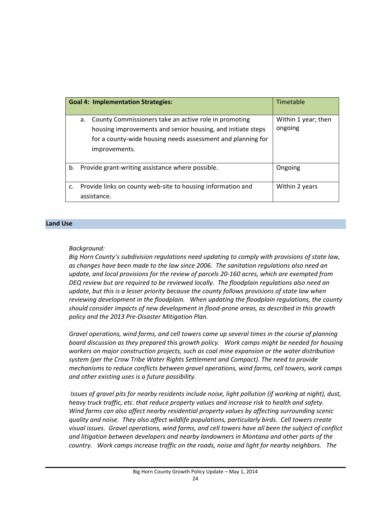|    | <b>Goal 4: Implementation Strategies:</b>                                                                                                                                                                  | Timetable                      |
|----|------------------------------------------------------------------------------------------------------------------------------------------------------------------------------------------------------------|--------------------------------|
|    | County Commissioners take an active role in promoting<br>а.<br>housing improvements and senior housing, and initiate steps<br>for a county-wide housing needs assessment and planning for<br>improvements. | Within 1 year; then<br>ongoing |
| b. | Provide grant-writing assistance where possible.                                                                                                                                                           | Ongoing                        |
| c. | Provide links on county web-site to housing information and<br>assistance.                                                                                                                                 | Within 2 years                 |

#### **Land Use**

## *Background:*

*Big Horn County's subdivision regulations need updating to comply with provisions of state law, as changes have been made to the law since 2006. The sanitation regulations also need an update, and local provisions for the review of parcels 20‐160 acres, which are exempted from DEQ review but are required to be reviewed locally. The floodplain regulations also need an update, but this is a lesser priority because the county follows provisions of state law when reviewing development in the floodplain. When updating the floodplain regulations, the county should consider impacts of new development in flood‐prone areas, as described in this growth policy and the 2013 Pre‐Disaster Mitigation Plan.*

*Gravel operations, wind farms, and cell towers came up several times in the course of planning board discussion as they prepared this growth policy. Work camps might be needed for housing workers on major construction projects, such as coal mine expansion or the water distribution system (per the Crow Tribe Water Rights Settlement and Compact). The need to provide mechanisms to reduce conflicts between gravel operations, wind farms, cell towers, work camps and other existing uses is a future possibility.*

*Issues of gravel pits for nearby residents include noise, light pollution (if working at night), dust, heavy truck traffic, etc. that reduce property values and increase risk to health and safety. Wind farms can also affect nearby residential property values by affecting surrounding scenic quality and noise. They also affect wildlife populations, particularly birds. Cell towers create visual issues. Gravel operations, wind farms, and cell towers have all been the subject of conflict and litigation between developers and nearby landowners in Montana and other parts of the country. Work camps increase traffic on the roads, noise and light for nearby neighbors. The*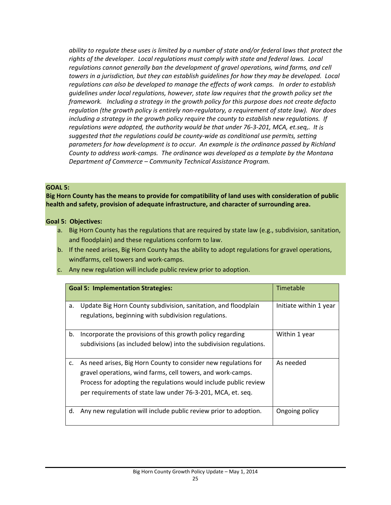ability to regulate these uses is limited by a number of state and/or federal laws that protect the *rights of the developer. Local regulations must comply with state and federal laws. Local regulations cannot generally ban the development of gravel operations, wind farms, and cell towers in a jurisdiction, but they can establish guidelines for how they may be developed. Local regulations can also be developed to manage the effects of work camps. In order to establish guidelines under local regulations, however, state law requires that the growth policy set the framework. Including a strategy in the growth policy for this purpose does not create defacto regulation (the growth policy is entirely non‐regulatory, a requirement of state law). Nor does including a strategy in the growth policy require the county to establish new regulations. If regulations were adopted, the authority would be that under 76‐3‐201, MCA, et.seq,. It is suggested that the regulations could be county‐wide as conditional use permits, setting parameters for how development is to occur. An example is the ordinance passed by Richland County to address work‐camps. The ordinance was developed as a template by the Montana Department of Commerce – Community Technical Assistance Program.*

## **GOAL 5:**

**Big Horn County has the means to provide for compatibility of land uses with consideration of public health and safety, provision of adequate infrastructure, and character of surrounding area.**

## **Goal 5: Objectives:**

- a. Big Horn County has the regulations that are required by state law (e.g., subdivision, sanitation, and floodplain) and these regulations conform to law.
- b. If the need arises, Big Horn County has the ability to adopt regulations for gravel operations, windfarms, cell towers and work‐camps.
- c. Any new regulation will include public review prior to adoption.

| <b>Goal 5: Implementation Strategies:</b> |                                                                                                                                                                                                                                                                   | <b>Timetable</b>       |
|-------------------------------------------|-------------------------------------------------------------------------------------------------------------------------------------------------------------------------------------------------------------------------------------------------------------------|------------------------|
| a.                                        | Update Big Horn County subdivision, sanitation, and floodplain<br>regulations, beginning with subdivision regulations.                                                                                                                                            | Initiate within 1 year |
| b.                                        | Incorporate the provisions of this growth policy regarding<br>subdivisions (as included below) into the subdivision regulations.                                                                                                                                  | Within 1 year          |
| c.                                        | As need arises, Big Horn County to consider new regulations for<br>gravel operations, wind farms, cell towers, and work-camps.<br>Process for adopting the regulations would include public review<br>per requirements of state law under 76-3-201, MCA, et. seq. | As needed              |
| d.                                        | Any new regulation will include public review prior to adoption.                                                                                                                                                                                                  | Ongoing policy         |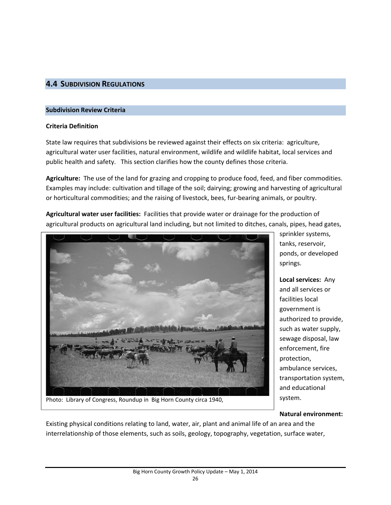## **4.4 SUBDIVISION REGULATIONS**

### **Subdivision Review Criteria**

## **Criteria Definition**

State law requires that subdivisions be reviewed against their effects on six criteria: agriculture, agricultural water user facilities, natural environment, wildlife and wildlife habitat, local services and public health and safety. This section clarifies how the county defines those criteria.

**Agriculture:** The use of the land for grazing and cropping to produce food, feed, and fiber commodities. Examples may include: cultivation and tillage of the soil; dairying; growing and harvesting of agricultural or horticultural commodities; and the raising of livestock, bees, fur‐bearing animals, or poultry.

**Agricultural water user facilities:** Facilities that provide water or drainage for the production of agricultural products on agricultural land including, but not limited to ditches, canals, pipes, head gates,



Photo: Library of Congress, Roundup in Big Horn County circa 1940,

sprinkler systems, tanks, reservoir, ponds, or developed springs.

**Local services:** Any and all services or facilities local government is authorized to provide, such as water supply, sewage disposal, law enforcement, fire protection, ambulance services, transportation system, and educational system.

#### **Natural environment:**

Existing physical conditions relating to land, water, air, plant and animal life of an area and the interrelationship of those elements, such as soils, geology, topography, vegetation, surface water,